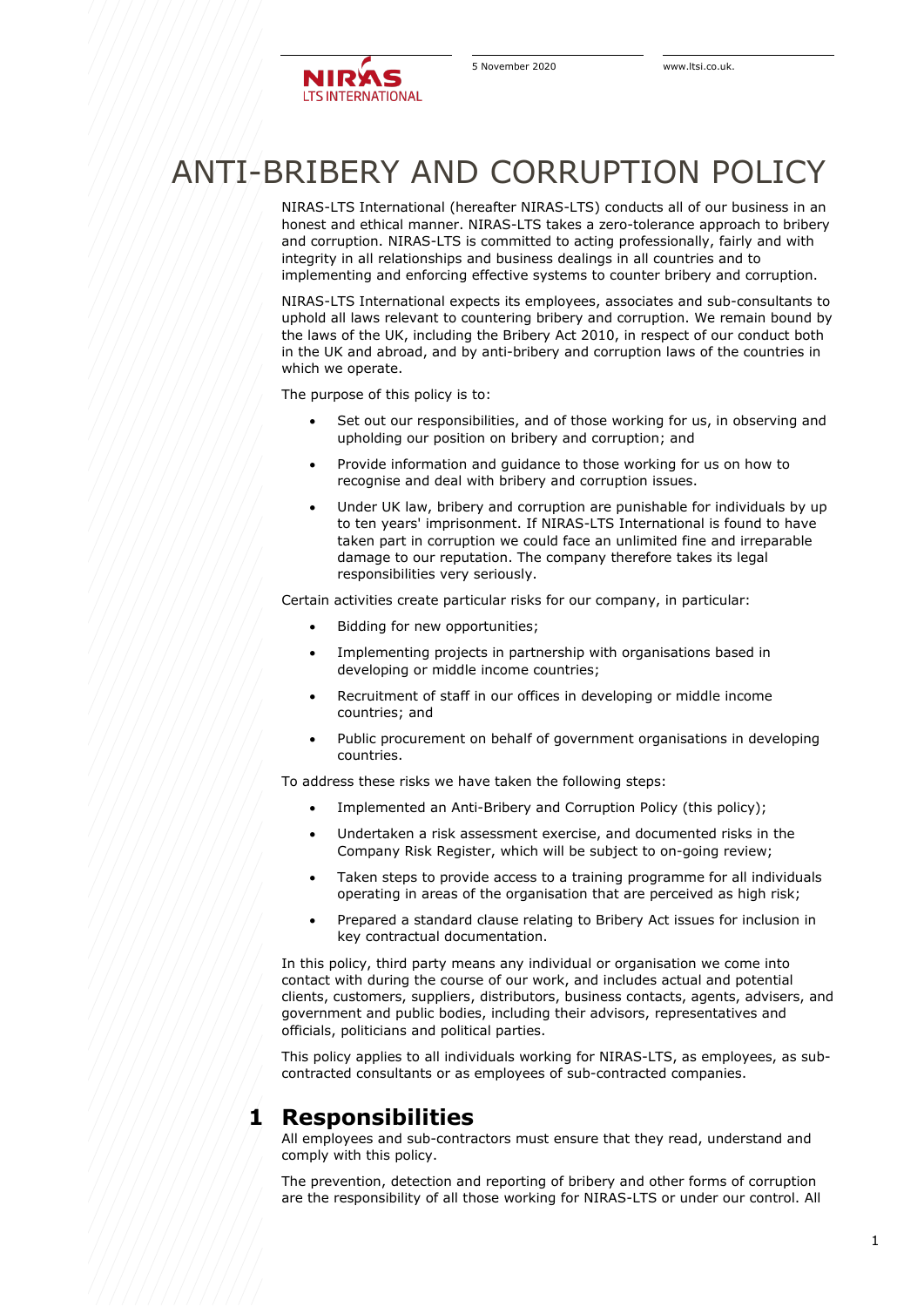

# ANTI-BRIBERY AND CORRUPTION POLICY

NIRAS-LTS International (hereafter NIRAS-LTS) conducts all of our business in an honest and ethical manner. NIRAS-LTS takes a zero-tolerance approach to bribery and corruption. NIRAS-LTS is committed to acting professionally, fairly and with integrity in all relationships and business dealings in all countries and to implementing and enforcing effective systems to counter bribery and corruption.

NIRAS-LTS International expects its employees, associates and sub-consultants to uphold all laws relevant to countering bribery and corruption. We remain bound by the laws of the UK, including the Bribery Act 2010, in respect of our conduct both in the UK and abroad, and by anti-bribery and corruption laws of the countries in which we operate.

The purpose of this policy is to:

- Set out our responsibilities, and of those working for us, in observing and upholding our position on bribery and corruption; and
- Provide information and guidance to those working for us on how to recognise and deal with bribery and corruption issues.
- Under UK law, bribery and corruption are punishable for individuals by up to ten years' imprisonment. If NIRAS-LTS International is found to have taken part in corruption we could face an unlimited fine and irreparable damage to our reputation. The company therefore takes its legal responsibilities very seriously.

Certain activities create particular risks for our company, in particular:

- Bidding for new opportunities;
- Implementing projects in partnership with organisations based in developing or middle income countries;
- Recruitment of staff in our offices in developing or middle income countries; and
- Public procurement on behalf of government organisations in developing countries.

To address these risks we have taken the following steps:

- Implemented an Anti-Bribery and Corruption Policy (this policy);
- Undertaken a risk assessment exercise, and documented risks in the Company Risk Register, which will be subject to on-going review;
- Taken steps to provide access to a training programme for all individuals operating in areas of the organisation that are perceived as high risk;
- Prepared a standard clause relating to Bribery Act issues for inclusion in key contractual documentation.

In this policy, third party means any individual or organisation we come into contact with during the course of our work, and includes actual and potential clients, customers, suppliers, distributors, business contacts, agents, advisers, and government and public bodies, including their advisors, representatives and officials, politicians and political parties.

This policy applies to all individuals working for NIRAS-LTS, as employees, as subcontracted consultants or as employees of sub-contracted companies.

#### **1 Responsibilities**

All employees and sub-contractors must ensure that they read, understand and comply with this policy.

The prevention, detection and reporting of bribery and other forms of corruption are the responsibility of all those working for NIRAS-LTS or under our control. All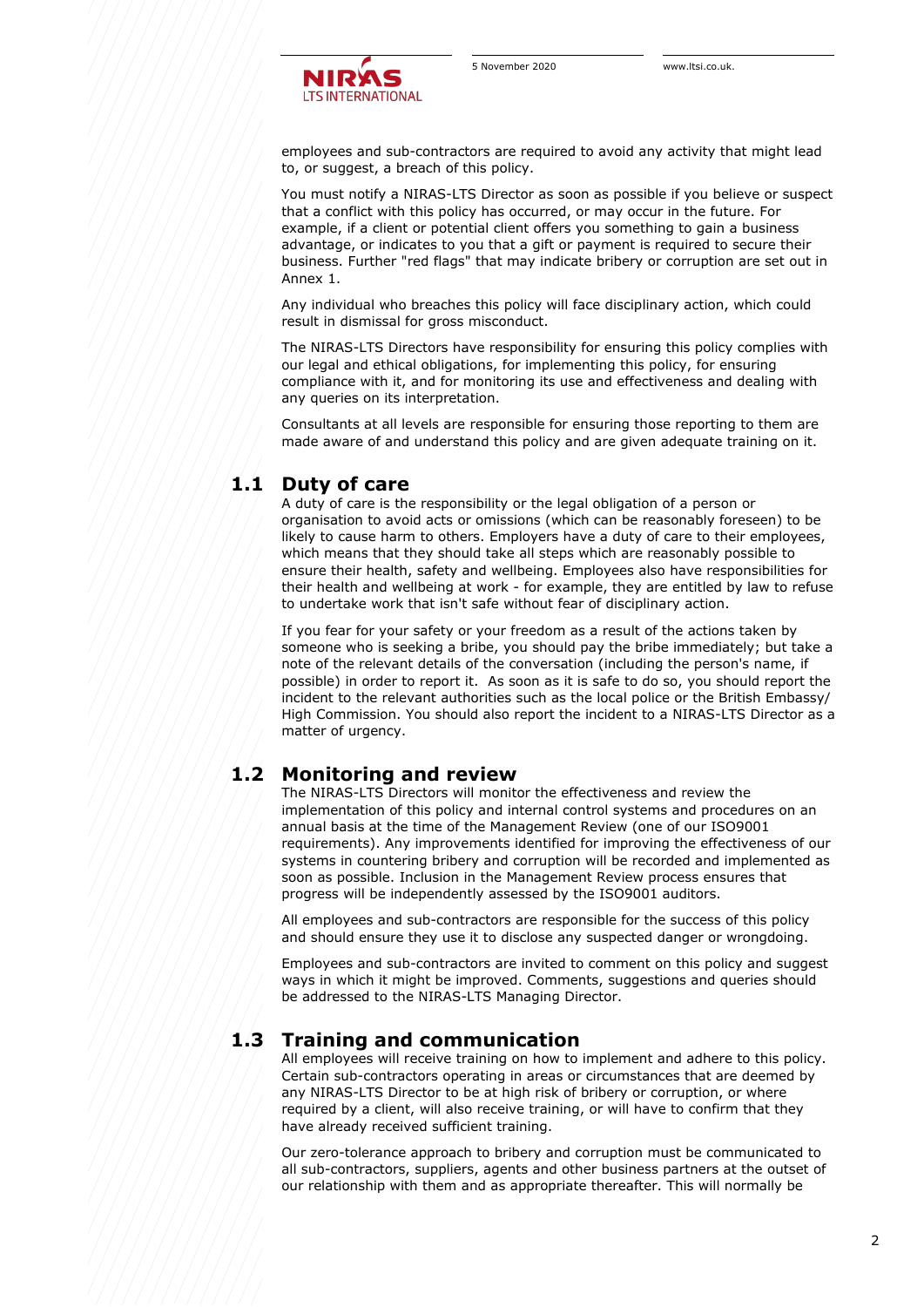

employees and sub-contractors are required to avoid any activity that might lead to, or suggest, a breach of this policy.

You must notify a NIRAS-LTS Director as soon as possible if you believe or suspect that a conflict with this policy has occurred, or may occur in the future. For example, if a client or potential client offers you something to gain a business advantage, or indicates to you that a gift or payment is required to secure their business. Further "red flags" that may indicate bribery or corruption are set out in Annex 1.

Any individual who breaches this policy will face disciplinary action, which could result in dismissal for gross misconduct.

The NIRAS-LTS Directors have responsibility for ensuring this policy complies with our legal and ethical obligations, for implementing this policy, for ensuring compliance with it, and for monitoring its use and effectiveness and dealing with any queries on its interpretation.

Consultants at all levels are responsible for ensuring those reporting to them are made aware of and understand this policy and are given adequate training on it.

#### **1.1 Duty of care**

A duty of care is the responsibility or the legal obligation of a person or organisation to avoid acts or omissions (which can be reasonably foreseen) to be likely to cause harm to others. Employers have a duty of care to their employees, which means that they should take all steps which are reasonably possible to ensure their health, safety and wellbeing. Employees also have responsibilities for their health and wellbeing at work - for example, they are entitled by law to refuse to undertake work that isn't safe without fear of disciplinary action.

If you fear for your safety or your freedom as a result of the actions taken by someone who is seeking a bribe, you should pay the bribe immediately; but take a note of the relevant details of the conversation (including the person's name, if possible) in order to report it. As soon as it is safe to do so, you should report the incident to the relevant authorities such as the local police or the British Embassy/ High Commission. You should also report the incident to a NIRAS-LTS Director as a matter of urgency.

### **1.2 Monitoring and review**

The NIRAS-LTS Directors will monitor the effectiveness and review the implementation of this policy and internal control systems and procedures on an annual basis at the time of the Management Review (one of our ISO9001 requirements). Any improvements identified for improving the effectiveness of our systems in countering bribery and corruption will be recorded and implemented as soon as possible. Inclusion in the Management Review process ensures that progress will be independently assessed by the ISO9001 auditors.

All employees and sub-contractors are responsible for the success of this policy and should ensure they use it to disclose any suspected danger or wrongdoing.

Employees and sub-contractors are invited to comment on this policy and suggest ways in which it might be improved. Comments, suggestions and queries should be addressed to the NIRAS-LTS Managing Director.

#### **1.3 Training and communication**

All employees will receive training on how to implement and adhere to this policy. Certain sub-contractors operating in areas or circumstances that are deemed by any NIRAS-LTS Director to be at high risk of bribery or corruption, or where required by a client, will also receive training, or will have to confirm that they have already received sufficient training.

Our zero-tolerance approach to bribery and corruption must be communicated to all sub-contractors, suppliers, agents and other business partners at the outset of our relationship with them and as appropriate thereafter. This will normally be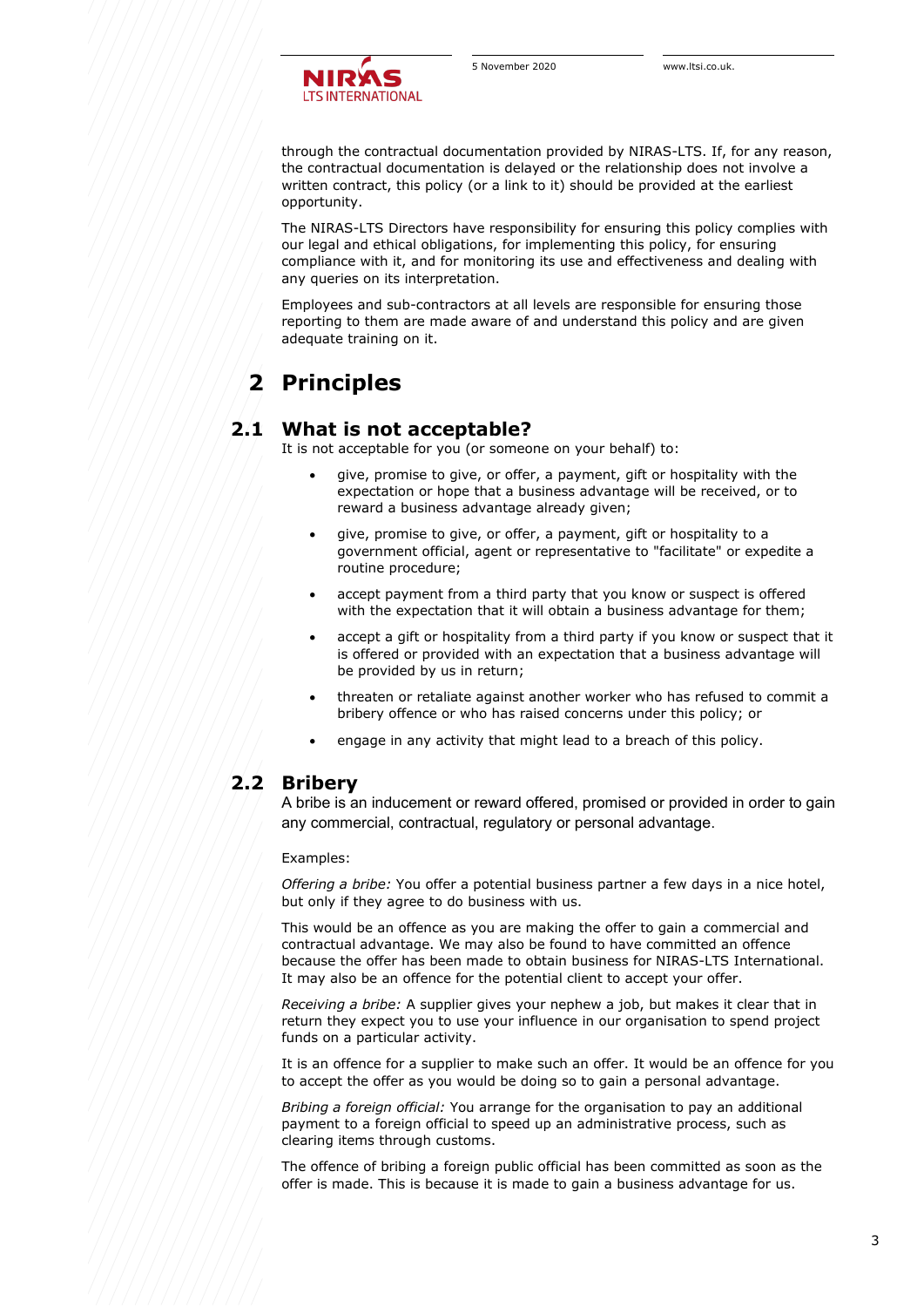

through the contractual documentation provided by NIRAS-LTS. If, for any reason, the contractual documentation is delayed or the relationship does not involve a written contract, this policy (or a link to it) should be provided at the earliest opportunity.

The NIRAS-LTS Directors have responsibility for ensuring this policy complies with our legal and ethical obligations, for implementing this policy, for ensuring compliance with it, and for monitoring its use and effectiveness and dealing with any queries on its interpretation.

Employees and sub-contractors at all levels are responsible for ensuring those reporting to them are made aware of and understand this policy and are given adequate training on it.

# **2 Principles**

### **2.1 What is not acceptable?**

It is not acceptable for you (or someone on your behalf) to:

- give, promise to give, or offer, a payment, gift or hospitality with the expectation or hope that a business advantage will be received, or to reward a business advantage already given;
- give, promise to give, or offer, a payment, gift or hospitality to a government official, agent or representative to "facilitate" or expedite a routine procedure;
- accept payment from a third party that you know or suspect is offered with the expectation that it will obtain a business advantage for them;
- accept a gift or hospitality from a third party if you know or suspect that it is offered or provided with an expectation that a business advantage will be provided by us in return;
- threaten or retaliate against another worker who has refused to commit a bribery offence or who has raised concerns under this policy; or
- engage in any activity that might lead to a breach of this policy.

#### **2.2 Bribery**

A bribe is an inducement or reward offered, promised or provided in order to gain any commercial, contractual, regulatory or personal advantage.

Examples:

*Offering a bribe:* You offer a potential business partner a few days in a nice hotel, but only if they agree to do business with us.

This would be an offence as you are making the offer to gain a commercial and contractual advantage. We may also be found to have committed an offence because the offer has been made to obtain business for NIRAS-LTS International. It may also be an offence for the potential client to accept your offer.

*Receiving a bribe:* A supplier gives your nephew a job, but makes it clear that in return they expect you to use your influence in our organisation to spend project funds on a particular activity.

It is an offence for a supplier to make such an offer. It would be an offence for you to accept the offer as you would be doing so to gain a personal advantage.

*Bribing a foreign official:* You arrange for the organisation to pay an additional payment to a foreign official to speed up an administrative process, such as clearing items through customs.

The offence of bribing a foreign public official has been committed as soon as the offer is made. This is because it is made to gain a business advantage for us.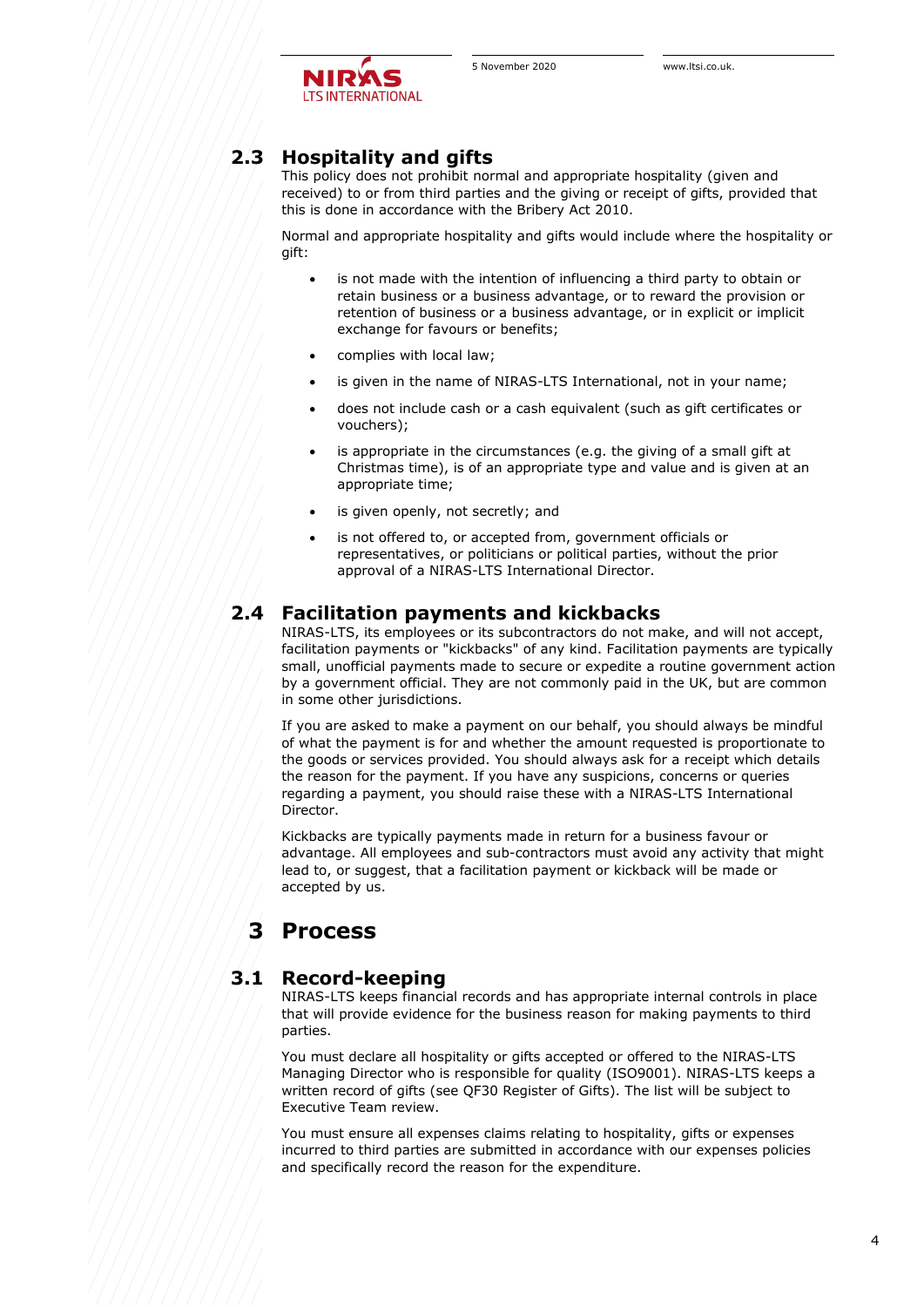

## **2.3 Hospitality and gifts**

This policy does not prohibit normal and appropriate hospitality (given and received) to or from third parties and the giving or receipt of gifts, provided that this is done in accordance with the Bribery Act 2010.

Normal and appropriate hospitality and gifts would include where the hospitality or gift:

- is not made with the intention of influencing a third party to obtain or retain business or a business advantage, or to reward the provision or retention of business or a business advantage, or in explicit or implicit exchange for favours or benefits;
- complies with local law;
- is given in the name of NIRAS-LTS International, not in your name;
- does not include cash or a cash equivalent (such as gift certificates or vouchers);
- is appropriate in the circumstances (e.g. the giving of a small gift at Christmas time), is of an appropriate type and value and is given at an appropriate time;
- is given openly, not secretly; and
- is not offered to, or accepted from, government officials or representatives, or politicians or political parties, without the prior approval of a NIRAS-LTS International Director.

#### **2.4 Facilitation payments and kickbacks**

NIRAS-LTS, its employees or its subcontractors do not make, and will not accept, facilitation payments or "kickbacks" of any kind. Facilitation payments are typically small, unofficial payments made to secure or expedite a routine government action by a government official. They are not commonly paid in the UK, but are common in some other jurisdictions.

If you are asked to make a payment on our behalf, you should always be mindful of what the payment is for and whether the amount requested is proportionate to the goods or services provided. You should always ask for a receipt which details the reason for the payment. If you have any suspicions, concerns or queries regarding a payment, you should raise these with a NIRAS-LTS International Director.

Kickbacks are typically payments made in return for a business favour or advantage. All employees and sub-contractors must avoid any activity that might lead to, or suggest, that a facilitation payment or kickback will be made or accepted by us.

## **3 Process**

#### **3.1 Record-keeping**

NIRAS-LTS keeps financial records and has appropriate internal controls in place that will provide evidence for the business reason for making payments to third parties.

You must declare all hospitality or gifts accepted or offered to the NIRAS-LTS Managing Director who is responsible for quality (ISO9001). NIRAS-LTS keeps a written record of gifts (see QF30 Register of Gifts). The list will be subject to Executive Team review.

You must ensure all expenses claims relating to hospitality, gifts or expenses incurred to third parties are submitted in accordance with our expenses policies and specifically record the reason for the expenditure.